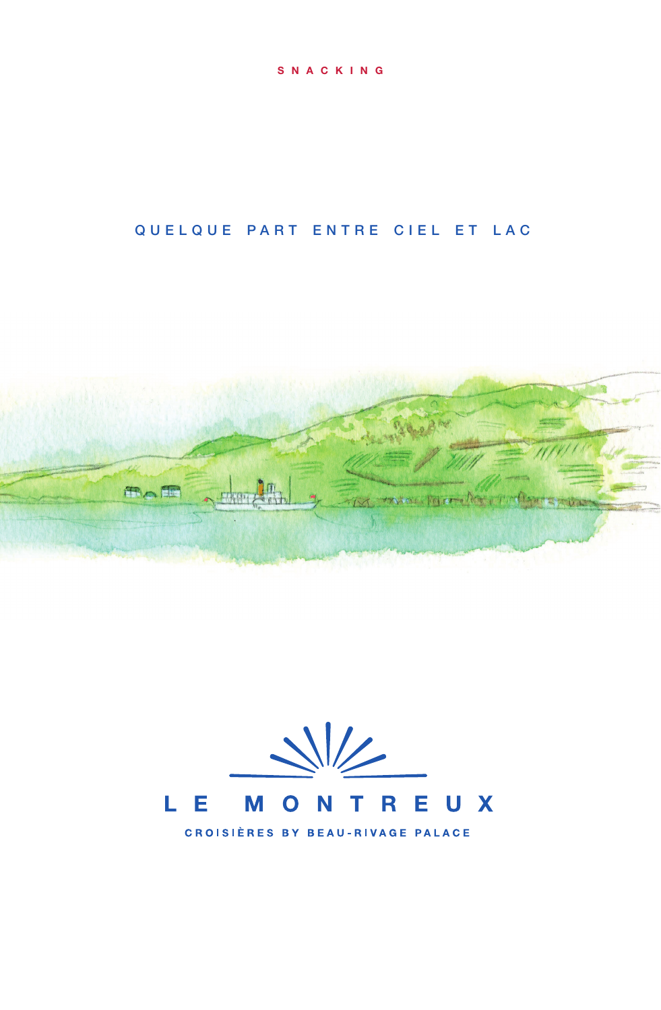#### SNACKING

# QUELQUE PART ENTRE CIEL ET LAC





**CROISIÈRES BY BEAU-RIVAGE PALACE**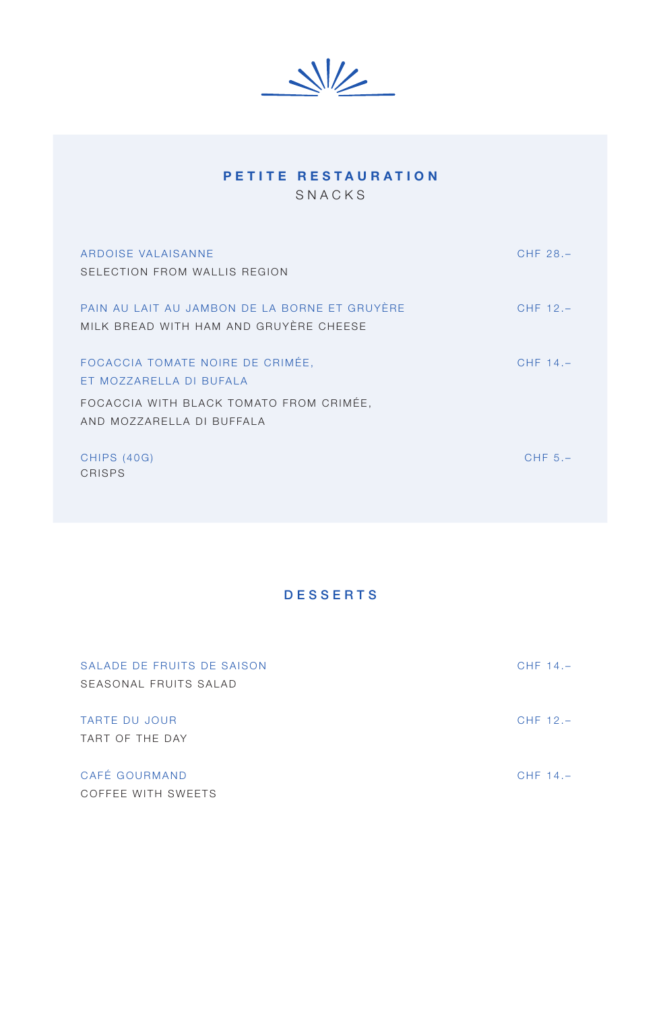$\frac{1}{2}$ 

| PETITE RESTAURATION<br>SNACKS                                                           |             |
|-----------------------------------------------------------------------------------------|-------------|
| ARDOISE VALAISANNE<br>SELECTION FROM WALLIS REGION                                      | CHF 28.-    |
| PAIN AU LAIT AU JAMBON DE LA BORNE ET GRUYÈRE<br>MILK BREAD WITH HAM AND GRUYÈRE CHEESE | CHF 12.-    |
| FOCACCIA TOMATE NOIRE DE CRIMÉE,<br>ET MOZZARELLA DI BUFALA                             | CHF $14. -$ |
| FOCACCIA WITH BLACK TOMATO FROM CRIMÉE,<br>AND MOZZARELLA DI BUFFALA                    |             |
| <b>CHIPS (40G)</b><br>CRISPS                                                            | CHF $5. -$  |

## DESSERTS

| SALADE DE FRUITS DE SAISON<br>SEASONAL FRUITS SALAD | CHF $14. -$ |
|-----------------------------------------------------|-------------|
| TARTE DU JOUR<br>TART OF THE DAY                    | CHF $12. -$ |
| CAFÉ GOURMAND<br>COFFEE WITH SWEETS                 | CHF $14. -$ |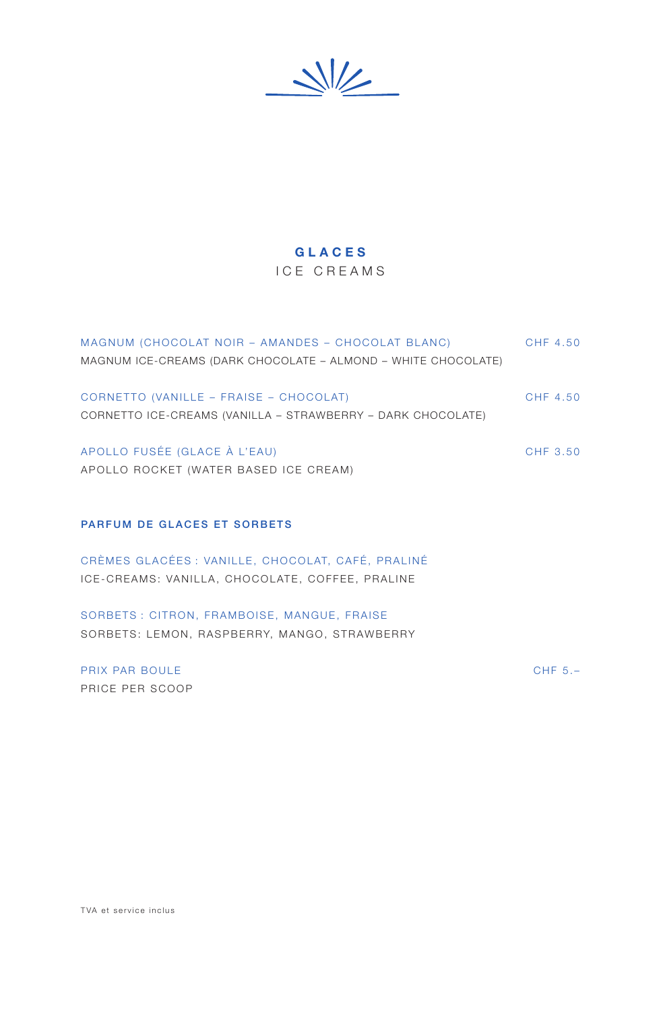$\frac{1}{2}$ 

### GLACES

#### ICE CREAMS

| MAGNUM (CHOCOLAT NOIR - AMANDES - CHOCOLAT BLANC)             | CHF 4.50 |
|---------------------------------------------------------------|----------|
| MAGNUM ICE-CREAMS (DARK CHOCOLATE – ALMOND – WHITE CHOCOLATE) |          |
|                                                               |          |
| CORNETTO (VANILLE - FRAISE - CHOCOLAT)                        | CHF 4.50 |
| CORNETTO ICE-CREAMS (VANILLA - STRAWBERRY - DARK CHOCOLATE)   |          |
|                                                               |          |
| APOLLO FUSÉE (GLACE À L'EAU)                                  | CHF 3.50 |
| APOLLO ROCKET (WATER BASED ICE CREAM)                         |          |
|                                                               |          |
|                                                               |          |

#### PARFUM DE GLACES ET SORBETS

CRÈMES GLACÉES : VANILLE, CHOCOLAT, CAFÉ, PRALINÉ ICE-CREAMS: VANILLA, CHOCOLATE, COFFEE, PRALINE

SORBETS : CITRON, FRAMBOISE, MANGUE, FRAISE SORBETS: LEMON, RASPBERRY, MANGO, STRAWBERRY

PRIX PAR BOULE CHF 5.– PRICE PER SCOOP